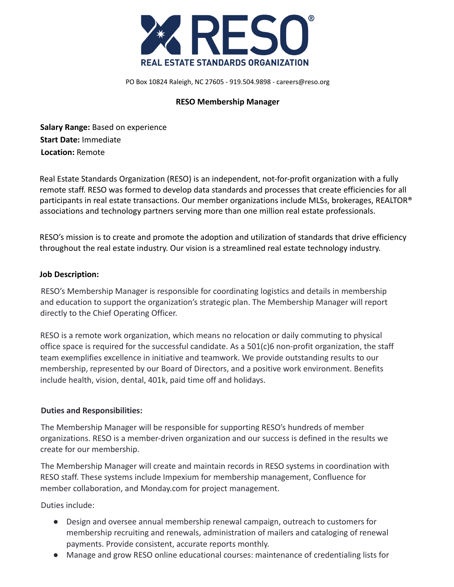

PO Box 10824 Raleigh, NC 27605 - 919.504.9898 - careers@reso.org

#### **RESO Membership Manager**

**Salary Range:** Based on experience **Start Date:** Immediate **Location:** Remote

Real Estate Standards Organization (RESO) is an independent, not-for-profit organization with a fully remote staff. RESO was formed to develop data standards and processes that create efficiencies for all participants in real estate transactions. Our member organizations include MLSs, brokerages, REALTOR® associations and technology partners serving more than one million real estate professionals.

RESO's mission is to create and promote the adoption and utilization of standards that drive efficiency throughout the real estate industry. Our vision is a streamlined real estate technology industry.

#### **Job Description:**

RESO's Membership Manager is responsible for coordinating logistics and details in membership and education to support the organization's strategic plan. The Membership Manager will report directly to the Chief Operating Officer.

RESO is a remote work organization, which means no relocation or daily commuting to physical office space is required for the successful candidate. As a 501(c)6 non-profit organization, the staff team exemplifies excellence in initiative and teamwork. We provide outstanding results to our membership, represented by our Board of Directors, and a positive work environment. Benefits include health, vision, dental, 401k, paid time off and holidays.

#### **Duties and Responsibilities:**

The Membership Manager will be responsible for supporting RESO's hundreds of member organizations. RESO is a member-driven organization and our success is defined in the results we create for our membership.

The Membership Manager will create and maintain records in RESO systems in coordination with RESO staff. These systems include Impexium for membership management, Confluence for member collaboration, and Monday.com for project management.

Duties include:

- Design and oversee annual membership renewal campaign, outreach to customers for membership recruiting and renewals, administration of mailers and cataloging of renewal payments. Provide consistent, accurate reports monthly.
- Manage and grow RESO online educational courses: maintenance of credentialing lists for